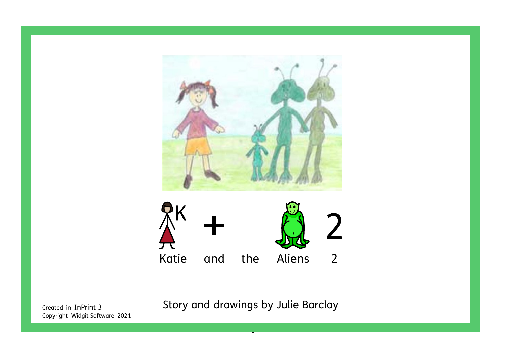

Created in InPrint 3 Copyright Widgit Software 2021 Story and drawings by Julie Barclay

- The contract of the contract of the contract of the contract of the contract of the contract of the contract<br>The contract of the contract of the contract of the contract of the contract of the contract of the contract o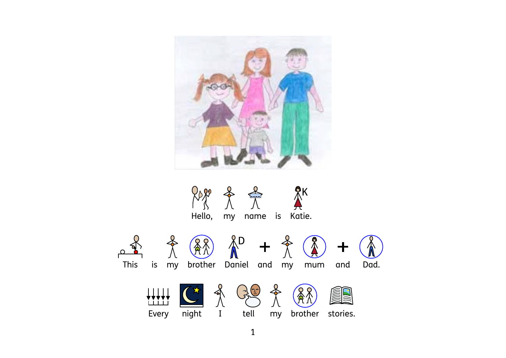

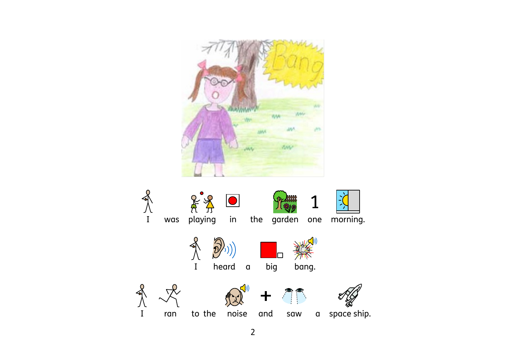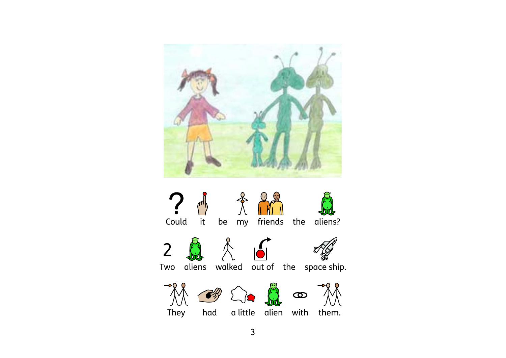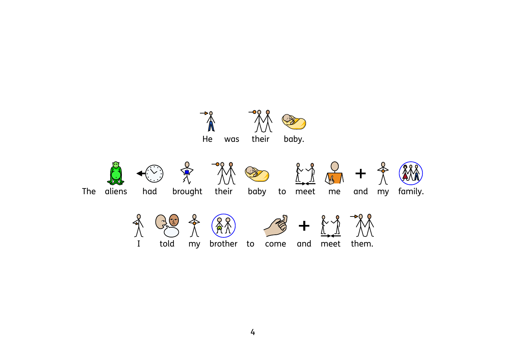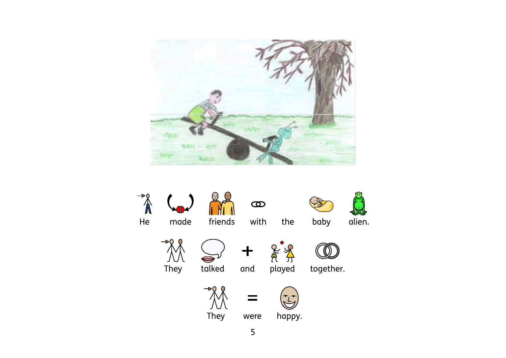

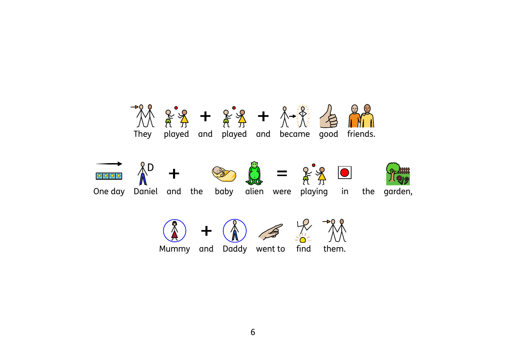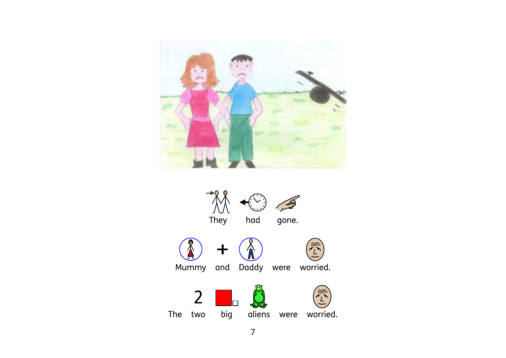

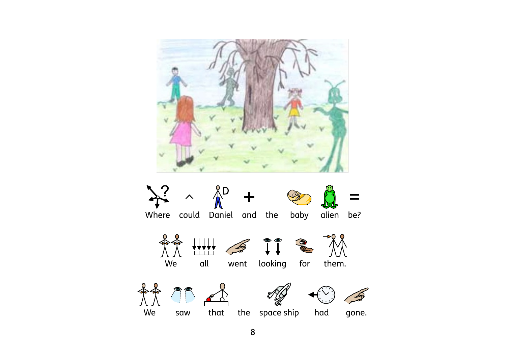$\frac{1}{2}$   $\sim \frac{1}{10}$  +  $\equiv$ Where could Daniel and the baby alien be?  $\begin{picture}(160,170) \put(0,0){\line(1,0){10}} \put(10,0){\line(1,0){10}} \put(10,0){\line(1,0){10}} \put(10,0){\line(1,0){10}} \put(10,0){\line(1,0){10}} \put(10,0){\line(1,0){10}} \put(10,0){\line(1,0){10}} \put(10,0){\line(1,0){10}} \put(10,0){\line(1,0){10}} \put(10,0){\line(1,0){10}} \put(10,0){\line(1,0){10}} \put(10,0){\line$ We all went looking for them.  $\begin{picture}(220,10) \put(0,0){\line(1,0){155}} \put(15,0){\line(1,0){155}} \put(15,0){\line(1,0){155}} \put(15,0){\line(1,0){155}} \put(15,0){\line(1,0){155}} \put(15,0){\line(1,0){155}} \put(15,0){\line(1,0){155}} \put(15,0){\line(1,0){155}} \put(15,0){\line(1,0){155}} \put(15,0){\line(1,0){155}} \put(15,0){\line(1,0){155}}$  $\mathscr{B}$ We saw that the space-ship had gone.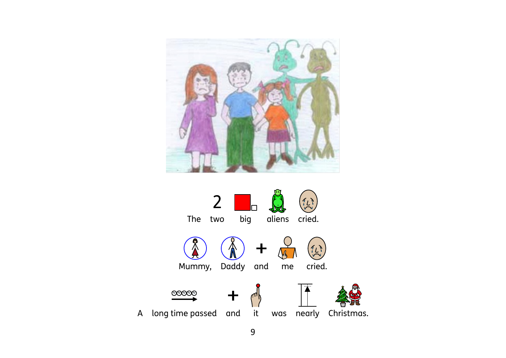

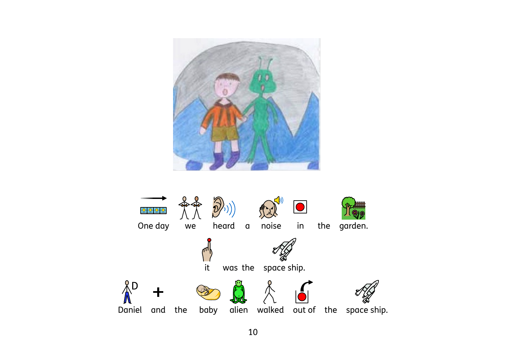